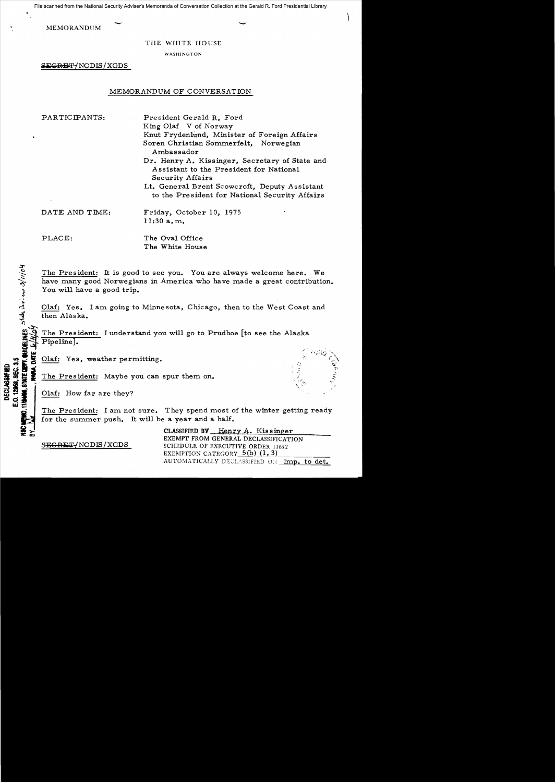MEMORANDUM File scanned from the National Security Adviser's Memoranda of Conversation Collection at the Gerald R. Ford Presidential Library

THE WHITE HOUSE

WASHINGTON

LGRET/NODIS/XGDS

# MEMORANDUM OF CONVERSATION

PARTICIPANTS: President Gerald R. Ford King Olaf V of Norway Knut Frydenlund, Minister of Foreign Affairs Soren Christian Sommerfelt, Norwegian Ambassador Dr. Henry A. Kissinger, Secretary of State and Assistant to the President for National Security Affairs

> Lt. General Brent Scowcroft, Deputy Assistant to the President for National Security Affairs

DATE AND TIME: Friday, October 10, 1975  $11:30$  a.m.

PLACE: The Oval Office

The White House

The President: It is good to see you. You are always welcome here. We have many good Norwegians in America who have made a great contribution. You will have a good trip.

Olaf: Yes. I am going to Minnesota, Chicago, then to the West Coast and then Alaska.

The President: I understand you will go to Prudhoe [to see the Alaska Pipeline].

Olaf: Yes, weather permitting.

The President: I am not sure. They spend most of the winter getting ready for the summer push. It will be a year and a half.

CLASSIFIED BY Henry A. Kissinger EXEMPT FROM GENERAL DECLASSIFICATION SEGRET/NODIS/XGDS SCHEDULE OF EXECUTIVE ORDER 11652 EXEMPTION CATEGORY  $5(b)$  (1,3) .AUTOMATICALLY DECLASSIFIED ON Imp. to det.

 $\Omega$  $\frac{11}{30}$ <br>  $\frac{11}{30}$ <br>  $\frac{11}{30}$ <br>  $\frac{11}{30}$ <br>  $\frac{11}{30}$ <br>  $\frac{11}{30}$ <br>  $\frac{11}{30}$ <br>  $\frac{11}{30}$ <br>  $\frac{11}{30}$ <br>  $\frac{11}{30}$ <br>  $\frac{11}{30}$ <br>  $\frac{11}{30}$ <br>  $\frac{11}{30}$ <br>  $\frac{11}{30}$ <br>  $\frac{11}{30}$ <br>  $\frac{11}{30}$ <br>  $\frac{11}{30}$ <br>  $\frac{30}{20}$   $\frac{1}{20}$   $\frac{1}{20}$   $\frac{1}{20}$   $\frac{1}{20}$   $\frac{1}{20}$   $\frac{1}{20}$   $\frac{1}{20}$   $\frac{1}{20}$   $\frac{1}{20}$   $\frac{1}{20}$   $\frac{1}{20}$   $\frac{1}{20}$   $\frac{1}{20}$   $\frac{1}{20}$   $\frac{1}{20}$   $\frac{1}{20}$   $\frac{1}{20}$   $\frac{1}{20}$   $\frac{1}{20}$  O. 12968. SEC.

*::r*

. , 'a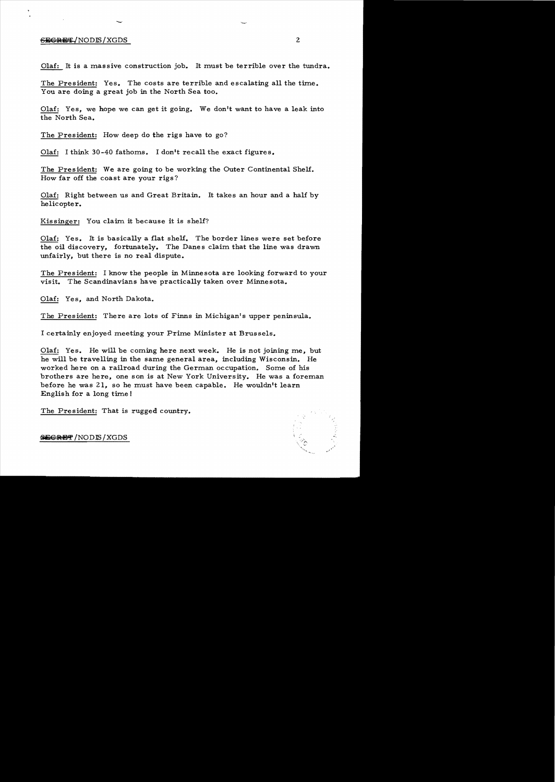### $S$  Secrets  $\sim$  2

Olaf: It is a massive construction job. It must be terrible over the tundra.

The President: Yes. The costs are terrible and escalating all the time. You are doing a great job in the North Sea too.

Olaf: Yes, we hope we can get it going. We don't want to have a leak into the North Sea.

The President: How deep do the rigs have to go?

-

Olaf: I think 30-40 fathoms. I don't recall the exact figures.

The President: We are going to be working the Outer Continental Shelf. How far off the coast are your rigs?

Olaf: Right between us and Great Britain. It takes an hour and a half by helicopter.

Kissinger: You claim it because it is shelf?

Olaf: Yes. It is basically a flat shelf. The border lines were set before the oil discovery, fortunately. The Danes claim that the line was drawn unfairly, but there is no real dispute.

The President: I know the people in Minnesota are looking forward to your visit. The Scandinavians have practically taken over Minnesota.

Olaf: Yes, and North Dakota.

The President: There are lots of Finns in Michigan's upper peninsula.

I certainly enjoyed meeting your Prime Minister at Brussels.

Olaf: Yes. He will be corning here next week. He is not joining me, but he will be travelling in the same general area, including Wisconsin. He worked here on a railroad during the German occupation. Some of his brothers are here, one son is at New York University. He was a foreman before he was 21, so he must have been capable. He wouldn't learn English for a long time I

The President: That is rugged country.

**SECRET**/NODE/XGDS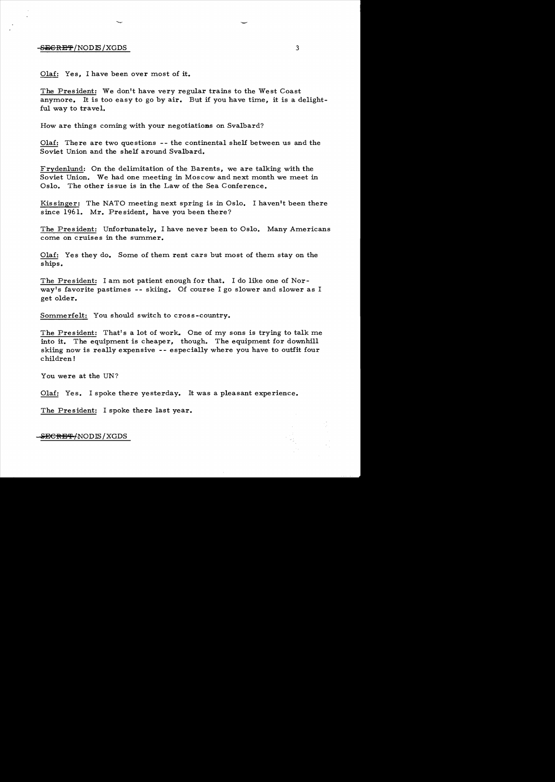# $-$ <del>SECRET</del>/NODIS/XGDS  $3$

Olaf: Yes, I have been over most of it.

The President: We don't have very regular trains to the West Coast anymore. It is too easy to go by air. But if you have time, it is a delightful way to travel.

How are things coming with your negotiations on Svalbard?

Olaf: There are two questions -- the continental shelf between us and the Soviet Union and the shelf around Svalbard.

Frydenlund: On the delimitation of the Barents, we are talking with the Soviet Union. We had one meeting in Moscow and next month we meet in Oslo. The other issue is in the Law of the Sea Conference.

Kissinger: The NATO meeting next spring is in Oslo. I haven't been there since 1961. Mr. President, have you been there?

The President: Unfortunately, I have never been to Oslo. Many Americans come on cruises in the summer.

Olaf: Yes they do. Some of them rent cars but most of them stay on the ships.

The President: I am not patient enough for that. I do like one of Norway's favorite pastimes -- skiing. Of course I go slower and slower as I get older.

Sommerfelt: You should switch to cross-country.

The President: That's a lot of work. One of my sons is trying to talk me into it. The equipment is cheaper, though. The equipment for downhill skiing now is really expensive -- especially where you have to outfit four children!

You were at the UN?

Olaf: Yes. I spoke there yesterday. It was a pleasant experience.

The President: I spoke there last year.

<del>SECRET/</del>NODIS / XGDS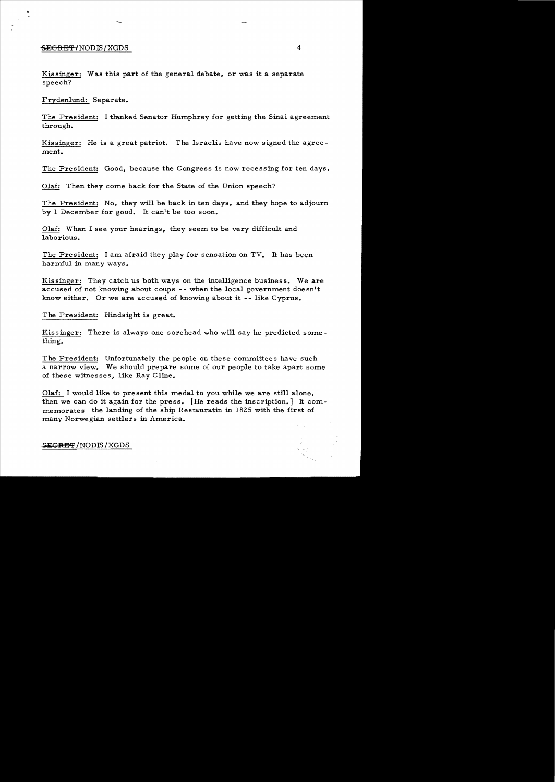# $-$ <del>SECRET</del>/NOD IS/XGDS 4

-

Kissinger: Was this part of the general debate, or was it a separate speech?

Frydenlund: Separate.

The President: I thanked Senator Humphrey for getting the Sinai agreement through.

Kissinger: He is a great patriot. The Israelis have now signed the agreement.

The President: Good, because the Congress is now recessing for ten days.

Olaf: Then they come back for the State of the Union speech?

The President: No, they will be back in ten days, and they hope to adjourn by 1 December for good. It can't be too soon.

Olaf: When I see your hearings, they seem to be very difficult and laborious.

The President: I am afraid they play for sensation on TV. It has been harmful in many ways.

Kissinger: They catch us both ways on the intelligence business. We are accused of not knowing about coups -- when the local government doesn't know either. Or we are accused of knowing about it -- like Cyprus.

The President: Hindsight is great.

Kissinger: There is always one sorehead who will say he predicted something.

The President: Unfortunately the people on these committees have such a narrow view. We should prepare some of our people to take apart some of these witnesses, like Ray Cline.

Olaf: I would like to present this medal to you while we are still alone, then we can do it again for the press. [He reads the inscription.] It commemorates the landing of the ship Restauratin in 1825 with the first of many Norwegian settlers in America.

#### $S$ **EGRET** /NODIS / XGDS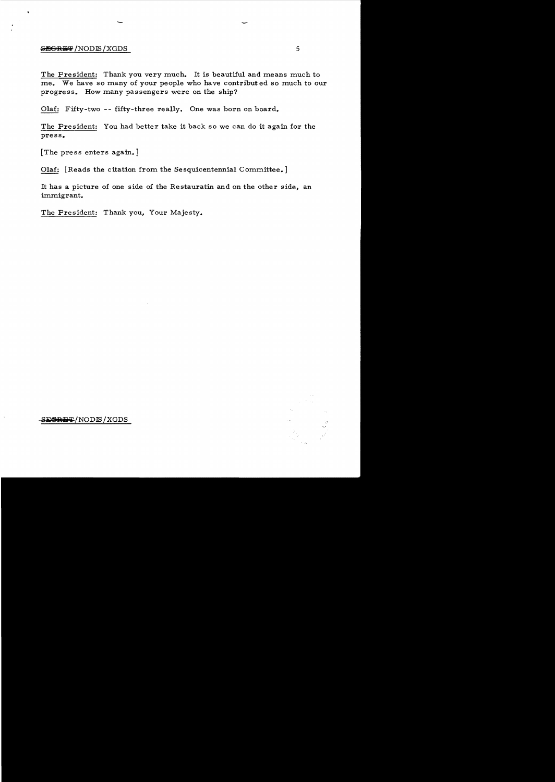## **GEGRET** /NODIS / XGDS 5

The President: Thank you very much. It is beautiful and means much to me. We have so many of your people who have contribut ed so much to our progress. How many passengers were on the ship?

Olaf: Fifty-two **--** fifty-three really. One was born on board.

The President: You had better take it back so we can do it again for the press.

[The press enters again.]

Olaf: [Reads the citation from the Sesquicentennial Committee.]

It has a picture of one side of the Restauratin and on the other side, an immigrant.

The President: Thank you, Your Majesty.



SESRET/NODLS/XGDS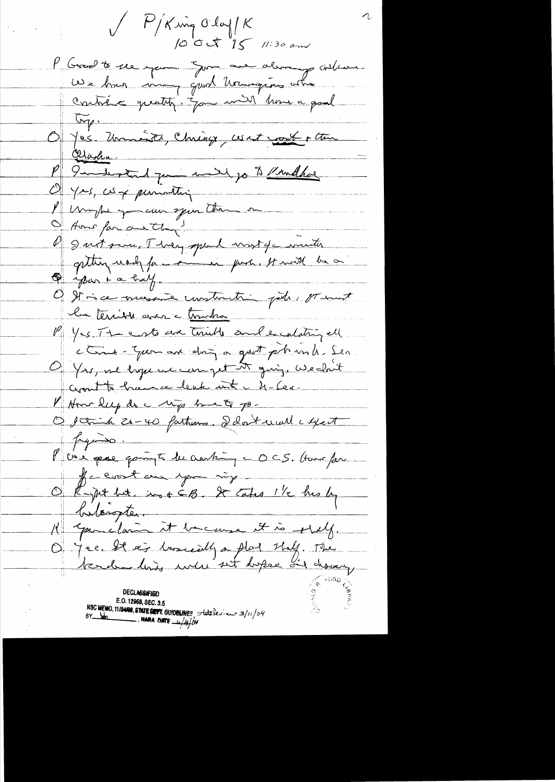V P/King Olay/K P Gred to elle men June au alimany contrare We has ina quot transpos atre contrêts quatity. Jam with home a goal  $\sqrt{G_{\gamma}}$ Opper Universiter, Christian ces est vont enter Olashn. P 9 meter 1 par mail jo to Kindhal l'un pe qui can spar than on Home for another! O I vit sur Threy speak vist de viciter O journal bulf Office messie unstruction pet pourt la terrible avec c transfer P Yes. The costs are triable and excalating ell come-you are ding a grat phond. Sea Of Yrs, we hope we can get it give, We clout Crowth hance leak int - 4-60. I Home leep do a wip to a go-O stinh 20-40 fathers. Delateral cyat  $1.14 \times 10^{-10}$ P vie que goingte du crenting c OCS. Have far He coast and you ing O Rapit but, in EG. It cates 1/2 his by butteropter. K qualicant to cause it is stilly. On jee 22 ag loomsily a plat they. The **DECLASSIFIED** E.O. 12958, SEC. 3.5 NSC MEMO, 11/24/08, STATE DEPT. GUIDELINES, State levieux 3/11/04  $\overline{\phantom{a}}$ . Nara d'ate $\frac{1}{4}$ /4/04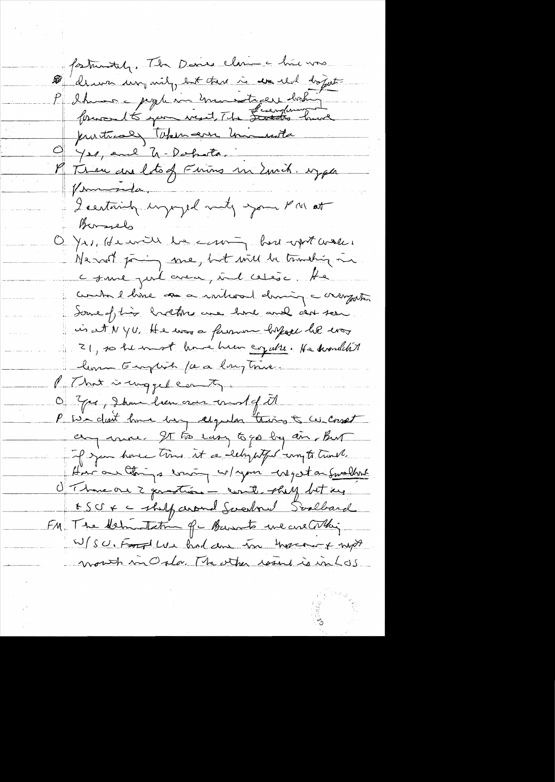fortunitely. The Danie clame a line was de un un mil, est tur i un real doquet P Shuman pople son mondager bohig protres the term are united 9 Yes, and U-Dobota. M Thise are lots of Firing in Emit. sypa Vermonda. I certainly importantly your PM at Bernels O Yrs, He will be coming but with water Ne most joing me, but will be tranching in come put avec int ceter. He comba l hine as a interact dining a crangester Some of this holters are hard and can seen in at N YU, He was a farmer before he was 21, so he most home hum cogable. He dissulted lema Empira (a a langtnice. Mit hat is ungged can ty. O Gre, 2 km hen avec and of it P we don't love berg chyeder thing & we conset any care. It too easy to go by air, But of you have time it a lehypty of my to track. Home are things evening w/ your use get on Smallent O Thomeon 2 generations - counter-shell but me BSCFC - shilf around Sverbound Scalbard FM The delmotation of burnts we creathing W/SU, Food We had done too movement myst month in Osla. The other result is in LOS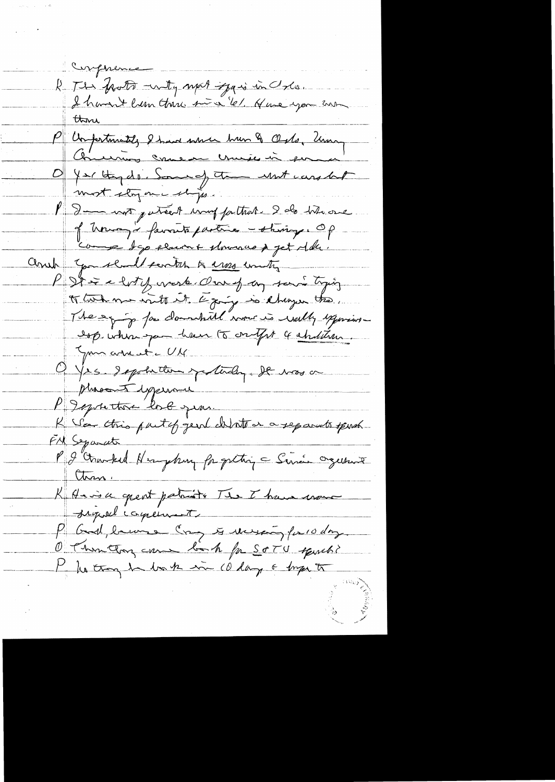Compresso le The Trots mily mot Jan in che mon P Unfortunité, 2 have sur une 2 Osto, Usan Offer they do. Some of the unt candlet most story one ships. Be not puttet mont fathat. 2 de bits one of themos i favorits partire -staring of comme dep electric plomace p jet delle. Come to chall senter to use unity P St i a lot y vesk Our of an savi tying of two me write it to ging is changer the. The eg jo for clamatill none is wally experience Isp. when you have to only it shallow Jun arreste UM Offer depotation of today. It was a phrocent experience P Igueton los jean. K Vea this part of gent chinton a reparents sport. FM Separate P I Counted Newyhong for getting = Since organis than. K Haisa grent patriots The I have used signal coment P God, because Come to receive for 10 day O Thunthon can book for SOTU squach? My the though he has the 10 days & bright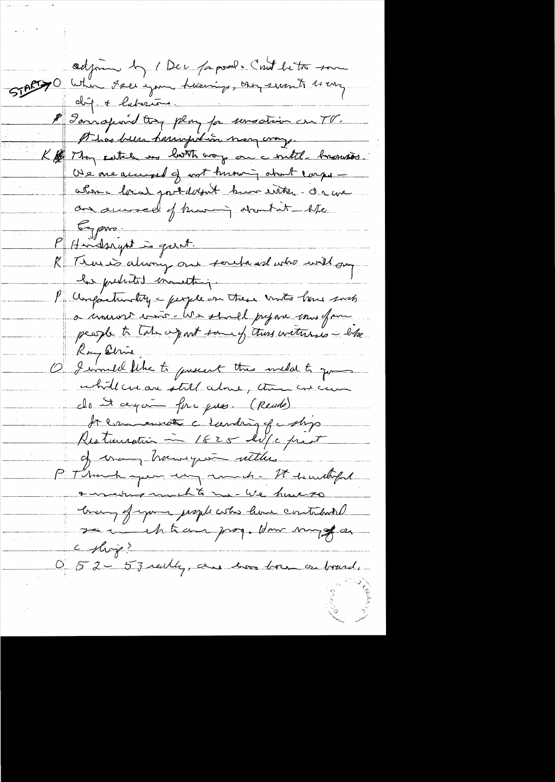odjoin by 1 Dec papal. Cont better som 51 pc 70 Whin Free jam Accessings, our seants 11 cm P Janspord try plus for unsation on TV. A has been harringed in near comp. K / They catche my loth way on a witch becomes. We are accepted of not turning about compreatom hval port dobat hum entre - de ma an awweel of turning about it - like  $5 - \rho$ Pf saidsrynt is garnt. R Trois duoig ou souhand who will on he predicted monetary. P Confactunatily a people on these united have sorts a monde voir Me shall prepare mos efform people to take a part some of this withhis - like Ray Olive, O I would like to present this wild to go while crear still alone, there are can cle<del>ut april principies. (Rende)</del> At commate charding of comp Restauration ~ 1825 AV/c prot of commy having until ... P Thank you use much - It hundred a making michte me- We have to coming of your prople who have contained se i vil trais pag. Hom sugge a c shop? 0 52 - 53 really, are how born on board.